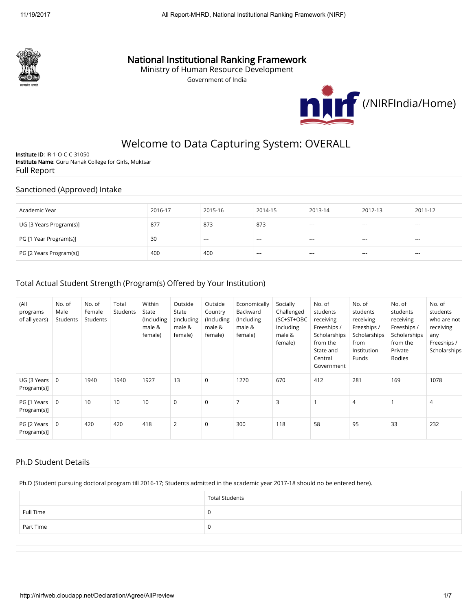

## National Institutional Ranking Framework

Ministry of Human Resource Development

Government of India



# Welcome to Data Capturing System: OVERALL

Institute ID: IR-1-O-C-C-31050 Institute Name: Guru Nanak College for Girls, Muktsar Full Report

#### Sanctioned (Approved) Intake

| Academic Year           | 2016-17 | 2015-16 | 2014-15 | 2013-14                  | 2012-13                  | 2011-12 |
|-------------------------|---------|---------|---------|--------------------------|--------------------------|---------|
| UG [3 Years Program(s)] | 877     | 873     | 873     | $\sim$                   | $\overline{\phantom{a}}$ | $- - -$ |
| PG [1 Year Program(s)]  | 30      | ----    | $- - -$ | $- - -$                  | $---$                    | $- - -$ |
| PG [2 Years Program(s)] | 400     | 400     | $--$    | $\overline{\phantom{a}}$ | ---                      | ----    |

#### Total Actual Student Strength (Program(s) Offered by Your Institution)

| (A  <br>programs<br>of all years) | No. of<br>Male<br>Students | No. of<br>Female<br>Students | Total<br>Students | Within<br>State<br>(Including<br>male &<br>female) | Outside<br>State<br>(Including<br>male &<br>female) | Outside<br>Country<br>(Including<br>male &<br>female) | Economically<br>Backward<br>(Including<br>male &<br>female) | Socially<br>Challenged<br>(SC+ST+OBC<br>Including<br>male &<br>female) | No. of<br>students<br>receiving<br>Freeships /<br>Scholarships<br>from the<br>State and<br>Central<br>Government | No. of<br>students<br>receiving<br>Freeships /<br>Scholarships<br>from<br>Institution<br>Funds | No. of<br>students<br>receiving<br>Freeships /<br>Scholarships<br>from the<br>Private<br><b>Bodies</b> | No. of<br>students<br>who are not<br>receiving<br>any<br>Freeships /<br>Scholarships |
|-----------------------------------|----------------------------|------------------------------|-------------------|----------------------------------------------------|-----------------------------------------------------|-------------------------------------------------------|-------------------------------------------------------------|------------------------------------------------------------------------|------------------------------------------------------------------------------------------------------------------|------------------------------------------------------------------------------------------------|--------------------------------------------------------------------------------------------------------|--------------------------------------------------------------------------------------|
| UG [3 Years]<br>Program(s)]       | $\overline{0}$             | 1940                         | 1940              | 1927                                               | 13                                                  | 0                                                     | 1270                                                        | 670                                                                    | 412                                                                                                              | 281                                                                                            | 169                                                                                                    | 1078                                                                                 |
| PG [1 Years<br>Program(s)]        | 0                          | 10                           | 10                | 10                                                 | $\mathbf 0$                                         | 0                                                     | 7                                                           | 3                                                                      |                                                                                                                  | $\overline{4}$                                                                                 |                                                                                                        | $\overline{4}$                                                                       |
| PG [2 Years<br>Program(s)]        | $\mathbf 0$                | 420                          | 420               | 418                                                | $\overline{2}$                                      | 0                                                     | 300                                                         | 118                                                                    | 58                                                                                                               | 95                                                                                             | 33                                                                                                     | 232                                                                                  |

#### Ph.D Student Details

| Ph.D (Student pursuing doctoral program till 2016-17; Students admitted in the academic year 2017-18 should no be entered here). |  |  |  |  |  |  |
|----------------------------------------------------------------------------------------------------------------------------------|--|--|--|--|--|--|
| <b>Total Students</b>                                                                                                            |  |  |  |  |  |  |
| <b>Full Time</b>                                                                                                                 |  |  |  |  |  |  |
| Part Time                                                                                                                        |  |  |  |  |  |  |
|                                                                                                                                  |  |  |  |  |  |  |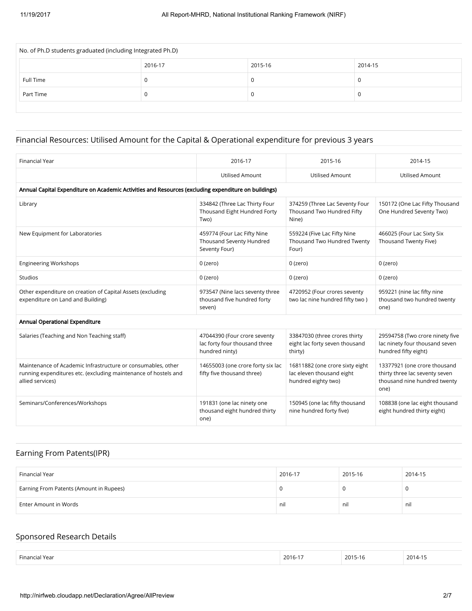| No. of Ph.D students graduated (including Integrated Ph.D) |         |         |         |  |  |  |  |  |
|------------------------------------------------------------|---------|---------|---------|--|--|--|--|--|
|                                                            | 2016-17 | 2015-16 | 2014-15 |  |  |  |  |  |
| Full Time                                                  | U       |         |         |  |  |  |  |  |
| Part Time                                                  | υ       |         |         |  |  |  |  |  |
|                                                            |         |         |         |  |  |  |  |  |

# Financial Resources: Utilised Amount for the Capital & Operational expenditure for previous 3 years

| <b>Financial Year</b>                                                                                                                               | 2016-17                                                                         | 2015-16                                                                             | 2014-15                                                                                                |
|-----------------------------------------------------------------------------------------------------------------------------------------------------|---------------------------------------------------------------------------------|-------------------------------------------------------------------------------------|--------------------------------------------------------------------------------------------------------|
|                                                                                                                                                     | <b>Utilised Amount</b>                                                          | <b>Utilised Amount</b>                                                              | <b>Utilised Amount</b>                                                                                 |
| Annual Capital Expenditure on Academic Activities and Resources (excluding expenditure on buildings)                                                |                                                                                 |                                                                                     |                                                                                                        |
| Library                                                                                                                                             | 334842 (Three Lac Thirty Four<br>Thousand Eight Hundred Forty<br>Two)           | 374259 (Three Lac Seventy Four<br>Thousand Two Hundred Fifty<br>Nine)               | 150172 (One Lac Fifty Thousand<br>One Hundred Seventy Two)                                             |
| New Equipment for Laboratories                                                                                                                      | 459774 (Four Lac Fifty Nine<br>Thousand Seventy Hundred<br>Seventy Four)        | 559224 (Five Lac Fifty Nine<br>Thousand Two Hundred Twenty<br>Four)                 | 466025 (Four Lac Sixty Six<br>Thousand Twenty Five)                                                    |
| <b>Engineering Workshops</b>                                                                                                                        | $0$ (zero)                                                                      | $0$ (zero)                                                                          | 0 (zero)                                                                                               |
| Studios                                                                                                                                             | 0 (zero)                                                                        | 0 (zero)                                                                            | 0 (zero)                                                                                               |
| Other expenditure on creation of Capital Assets (excluding<br>expenditure on Land and Building)                                                     | 973547 (Nine lacs seventy three<br>thousand five hundred forty<br>seven)        | 4720952 (Four crores seventy<br>two lac nine hundred fifty two)                     | 959221 (nine lac fifty nine<br>thousand two hundred twenty<br>one)                                     |
| Annual Operational Expenditure                                                                                                                      |                                                                                 |                                                                                     |                                                                                                        |
| Salaries (Teaching and Non Teaching staff)                                                                                                          | 47044390 (Four crore seventy<br>lac forty four thousand three<br>hundred ninty) | 33847030 (three crores thirty<br>eight lac forty seven thousand<br>thirty)          | 29594758 (Two crore ninety five<br>lac ninety four thousand seven<br>hundred fifty eight)              |
| Maintenance of Academic Infrastructure or consumables, other<br>running expenditures etc. (excluding maintenance of hostels and<br>allied services) | 14655003 (one crore forty six lac<br>fifty five thousand three)                 | 16811882 (one crore sixty eight<br>lac eleven thousand eight<br>hundred eighty two) | 13377921 (one crore thousand<br>thirty three lac seventy seven<br>thousand nine hundred twenty<br>one) |
| Seminars/Conferences/Workshops                                                                                                                      | 191831 (one lac ninety one<br>thousand eight hundred thirty<br>one)             | 150945 (one lac fifty thousand<br>nine hundred forty five)                          | 108838 (one lac eight thousand<br>eight hundred thirty eight)                                          |

## Earning From Patents(IPR)

| Financial Year                          | 2016-17 | 2015-16 | 2014-15 |
|-----------------------------------------|---------|---------|---------|
| Earning From Patents (Amount in Rupees) |         |         |         |
| Enter Amount in Words                   | nil     | nil     | nil     |

## Sponsored Research Details

| Financi.<br>Year<br>$ -$ | 2016-1 | 2015-16 | 2014-1 |
|--------------------------|--------|---------|--------|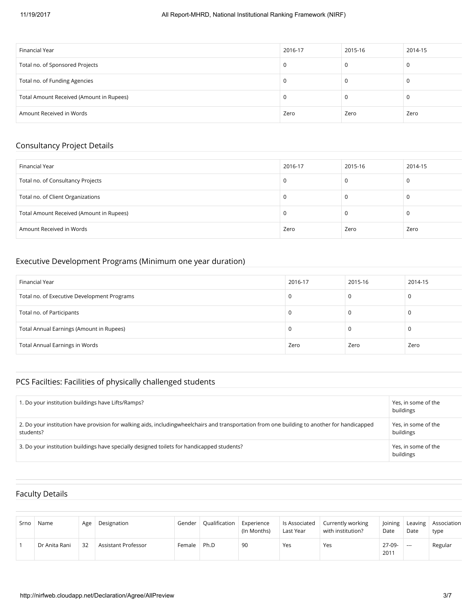| Financial Year                           | 2016-17 | 2015-16 | 2014-15 |
|------------------------------------------|---------|---------|---------|
| Total no. of Sponsored Projects          |         | U       | 0       |
| Total no. of Funding Agencies            |         | U       | 0       |
| Total Amount Received (Amount in Rupees) |         |         | 0       |
| Amount Received in Words                 | Zero    | Zero    | Zero    |

## Consultancy Project Details

| Financial Year                           | 2016-17 | 2015-16 | 2014-15 |
|------------------------------------------|---------|---------|---------|
| Total no. of Consultancy Projects        | U       |         | 0       |
| Total no. of Client Organizations        |         |         | -C      |
| Total Amount Received (Amount in Rupees) | υ       |         | -C      |
| Amount Received in Words                 | Zero    | Zero    | Zero    |

#### Executive Development Programs (Minimum one year duration)

| Financial Year                              | 2016-17 | 2015-16 | 2014-15 |
|---------------------------------------------|---------|---------|---------|
| Total no. of Executive Development Programs |         |         |         |
| Total no. of Participants                   |         |         |         |
| Total Annual Earnings (Amount in Rupees)    |         |         |         |
| <b>Total Annual Earnings in Words</b>       | Zero    | Zero    | Zero    |

# PCS Facilties: Facilities of physically challenged students

| . Do your institution buildings have Lifts/Ramps?                                                                                                          | Yes, in some of the<br>buildings |
|------------------------------------------------------------------------------------------------------------------------------------------------------------|----------------------------------|
| 2. Do your institution have provision for walking aids, including wheelchairs and transportation from one building to another for handicapped<br>students? | Yes, in some of the<br>buildings |
| 3. Do your institution buildings have specially designed toilets for handicapped students?                                                                 | Yes, in some of the<br>buildings |

## Faculty Details

| Srno | Name          | Age | Designation         | Gender | Qualification | Experience<br>(In Months) | ls Associated<br>Last Year | Currently working<br>with institution? | <b>Joining</b><br>Date | Leaving<br>Date | Association<br>type |
|------|---------------|-----|---------------------|--------|---------------|---------------------------|----------------------------|----------------------------------------|------------------------|-----------------|---------------------|
|      | Dr Anita Rani | 32  | Assistant Professor | Female | Ph.D          | 90                        | Yes                        | Yes                                    | 27-09-<br>2011         | $---$           | Regular             |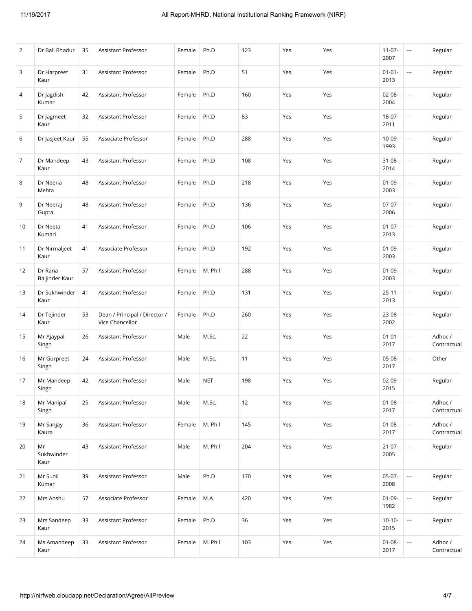| 2  | Dr Bali Bhadur            | 35 | Assistant Professor                              | Female | Ph.D           | 123 | Yes | Yes | $11-07-$<br>2007    | ---                      | Regular                |
|----|---------------------------|----|--------------------------------------------------|--------|----------------|-----|-----|-----|---------------------|--------------------------|------------------------|
| 3  | Dr Harpreet<br>Kaur       | 31 | Assistant Professor                              | Female | Ph.D           | 51  | Yes | Yes | $01 - 01 -$<br>2013 | ---                      | Regular                |
| 4  | Dr Jagdish<br>Kumar       | 42 | Assistant Professor                              | Female | Ph.D           | 160 | Yes | Yes | $02 - 08 -$<br>2004 | $\overline{\phantom{a}}$ | Regular                |
| 5  | Dr Jagmeet<br>Kaur        | 32 | Assistant Professor                              | Female | Ph.D           | 83  | Yes | Yes | $18-07-$<br>2011    | u.                       | Regular                |
| 6  | Dr Jasjeet Kaur           | 55 | Associate Professor                              | Female | Ph.D           | 288 | Yes | Yes | $10 - 09 -$<br>1993 | ---                      | Regular                |
| 7  | Dr Mandeep<br>Kaur        | 43 | Assistant Professor                              | Female | Ph.D           | 108 | Yes | Yes | $31 - 08 -$<br>2014 | ---                      | Regular                |
| 8  | Dr Neena<br>Mehta         | 48 | Assistant Professor                              | Female | Ph.D           | 218 | Yes | Yes | $01-09-$<br>2003    | ---                      | Regular                |
| 9  | Dr Neeraj<br>Gupta        | 48 | <b>Assistant Professor</b>                       | Female | Ph.D           | 136 | Yes | Yes | $07-07-$<br>2006    | ---                      | Regular                |
| 10 | Dr Neeta<br>Kumari        | 41 | Assistant Professor                              | Female | Ph.D           | 106 | Yes | Yes | $01 - 07 -$<br>2013 | ---                      | Regular                |
| 11 | Dr Nirmaljeet<br>Kaur     | 41 | Associate Professor                              | Female | Ph.D           | 192 | Yes | Yes | $01 - 09 -$<br>2003 | ---                      | Regular                |
| 12 | Dr Rana<br>Baljinder Kaur | 57 | Assistant Professor                              | Female | M. Phil        | 288 | Yes | Yes | $01 - 09 -$<br>2003 | $\overline{\phantom{a}}$ | Regular                |
| 13 | Dr Sukhwinder<br>Kaur     | 41 | Assistant Professor                              | Female | Ph.D           | 131 | Yes | Yes | $25 - 11 -$<br>2013 | ---                      | Regular                |
| 14 | Dr Tejinder<br>Kaur       | 53 | Dean / Principal / Director /<br>Vice Chancellor | Female | Ph.D           | 260 | Yes | Yes | 23-08-<br>2002      | ---                      | Regular                |
| 15 | Mr Ajaypal<br>Singh       | 26 | Assistant Professor                              | Male   | M.Sc.          | 22  | Yes | Yes | $01 - 01 -$<br>2017 | $\overline{\phantom{a}}$ | Adhoc /<br>Contractual |
| 16 | Mr Gurpreet<br>Singh      | 24 | Assistant Professor                              | Male   | M.Sc.          | 11  | Yes | Yes | 05-08-<br>2017      | $\overline{\phantom{a}}$ | Other                  |
| 17 | Mr Mandeep<br>Singh       | 42 | Assistant Professor                              | Male   | <b>NET</b>     | 198 | Yes | Yes | $02-09-$<br>2015    | $\overline{\phantom{a}}$ | Regular                |
| 18 | Mr Manipal<br>Singh       | 25 | Assistant Professor                              | Male   | M.Sc.          | 12  | Yes | Yes | $01 - 08 -$<br>2017 | ---                      | Adhoc /<br>Contractual |
| 19 | Mr Sanjay<br>Kaura        | 36 | Assistant Professor                              | Female | M. Phil        | 145 | Yes | Yes | $01 - 08 -$<br>2017 | $\overline{\phantom{a}}$ | Adhoc /<br>Contractual |
| 20 | Mr<br>Sukhwinder<br>Kaur  | 43 | Assistant Professor                              | Male   | M. Phil        | 204 | Yes | Yes | $21 - 07 -$<br>2005 | ---                      | Regular                |
| 21 | Mr Sunil<br>Kumar         | 39 | Assistant Professor                              | Male   | Ph.D           | 170 | Yes | Yes | $05-07-$<br>2008    |                          | Regular                |
| 22 | Mrs Anshu                 | 57 | Associate Professor                              | Female | $\mathsf{M.A}$ | 420 | Yes | Yes | $01 - 09 -$<br>1982 | ---                      | Regular                |
| 23 | Mrs Sandeep<br>Kaur       | 33 | Assistant Professor                              | Female | Ph.D           | 36  | Yes | Yes | $10-10-$<br>2015    | ---                      | Regular                |
| 24 | Ms Amandeep<br>Kaur       | 33 | Assistant Professor                              | Female | M. Phil        | 103 | Yes | Yes | $01 - 08 -$<br>2017 | $\overline{\phantom{a}}$ | Adhoc /<br>Contractual |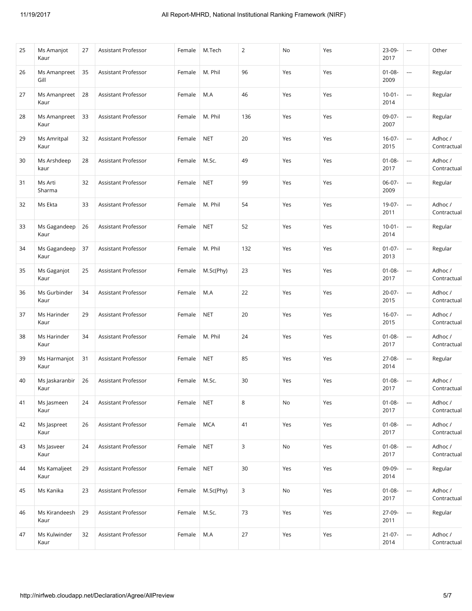| 25 | Ms Amanjot<br>Kaur     | 27 | Assistant Professor        | Female | M.Tech     | $\overline{2}$ | No  | Yes | 23-09-<br>2017      | $\overline{\phantom{a}}$ | Other                  |
|----|------------------------|----|----------------------------|--------|------------|----------------|-----|-----|---------------------|--------------------------|------------------------|
| 26 | Ms Amanpreet<br>Gill   | 35 | Assistant Professor        | Female | M. Phil    | 96             | Yes | Yes | $01 - 08 -$<br>2009 | $\overline{a}$           | Regular                |
| 27 | Ms Amanpreet<br>Kaur   | 28 | Assistant Professor        | Female | M.A        | 46             | Yes | Yes | $10 - 01 -$<br>2014 | $\overline{\phantom{a}}$ | Regular                |
| 28 | Ms Amanpreet<br>Kaur   | 33 | Assistant Professor        | Female | M. Phil    | 136            | Yes | Yes | 09-07-<br>2007      | $\overline{\phantom{a}}$ | Regular                |
| 29 | Ms Amritpal<br>Kaur    | 32 | Assistant Professor        | Female | <b>NET</b> | 20             | Yes | Yes | $16 - 07 -$<br>2015 | $\hspace{0.05cm}\ldots$  | Adhoc/<br>Contractual  |
| 30 | Ms Arshdeep<br>kaur    | 28 | Assistant Professor        | Female | M.Sc.      | 49             | Yes | Yes | $01 - 08 -$<br>2017 | $\overline{\phantom{a}}$ | Adhoc /<br>Contractual |
| 31 | Ms Arti<br>Sharma      | 32 | Assistant Professor        | Female | <b>NET</b> | 99             | Yes | Yes | $06-07-$<br>2009    | $\overline{\phantom{a}}$ | Regular                |
| 32 | Ms Ekta                | 33 | Assistant Professor        | Female | M. Phil    | 54             | Yes | Yes | 19-07-<br>2011      | $\overline{\phantom{a}}$ | Adhoc /<br>Contractual |
| 33 | Ms Gagandeep<br>Kaur   | 26 | Assistant Professor        | Female | <b>NET</b> | 52             | Yes | Yes | $10 - 01 -$<br>2014 | $\overline{\phantom{a}}$ | Regular                |
| 34 | Ms Gagandeep<br>Kaur   | 37 | <b>Assistant Professor</b> | Female | M. Phil    | 132            | Yes | Yes | $01 - 07 -$<br>2013 | $\hspace{0.05cm}\ldots$  | Regular                |
| 35 | Ms Gaganjot<br>Kaur    | 25 | Assistant Professor        | Female | M.Sc(Phy)  | 23             | Yes | Yes | $01 - 08 -$<br>2017 | $\overline{\phantom{a}}$ | Adhoc /<br>Contractual |
| 36 | Ms Gurbinder<br>Kaur   | 34 | Assistant Professor        | Female | M.A        | 22             | Yes | Yes | $20 - 07 -$<br>2015 | ---                      | Adhoc /<br>Contractual |
| 37 | Ms Harinder<br>Kaur    | 29 | Assistant Professor        | Female | <b>NET</b> | 20             | Yes | Yes | $16 - 07 -$<br>2015 | $\overline{\phantom{a}}$ | Adhoc/<br>Contractual  |
| 38 | Ms Harinder<br>Kaur    | 34 | Assistant Professor        | Female | M. Phil    | 24             | Yes | Yes | $01 - 08 -$<br>2017 | $\overline{\phantom{a}}$ | Adhoc /<br>Contractual |
| 39 | Ms Harmanjot<br>Kaur   | 31 | Assistant Professor        | Female | <b>NET</b> | 85             | Yes | Yes | 27-08-<br>2014      | $\overline{\phantom{a}}$ | Regular                |
| 40 | Ms Jaskaranbir<br>Kaur | 26 | Assistant Professor        | Female | M.Sc.      | 30             | Yes | Yes | $01 - 08 -$<br>2017 | $\sim$                   | Adhoc /<br>Contractual |
| 41 | Ms Jasmeen<br>Kaur     | 24 | Assistant Professor        | Female | <b>NET</b> | 8              | No  | Yes | $01 - 08 -$<br>2017 | $\sim$                   | Adhoc /<br>Contractual |
| 42 | Ms Jaspreet<br>Kaur    | 26 | Assistant Professor        | Female | <b>MCA</b> | 41             | Yes | Yes | $01 - 08 -$<br>2017 | $\overline{\phantom{a}}$ | Adhoc /<br>Contractual |
| 43 | Ms Jasveer<br>Kaur     | 24 | Assistant Professor        | Female | <b>NET</b> | 3              | No  | Yes | $01 - 08 -$<br>2017 | $\overline{\phantom{a}}$ | Adhoc /<br>Contractual |
| 44 | Ms Kamaljeet<br>Kaur   | 29 | <b>Assistant Professor</b> | Female | <b>NET</b> | 30             | Yes | Yes | 09-09-<br>2014      | $\overline{\phantom{a}}$ | Regular                |
| 45 | Ms Kanika              | 23 | Assistant Professor        | Female | M.Sc(Phy)  | 3              | No  | Yes | $01 - 08 -$<br>2017 | $\overline{\phantom{a}}$ | Adhoc /<br>Contractual |
| 46 | Ms Kirandeesh<br>Kaur  | 29 | Assistant Professor        | Female | M.Sc.      | 73             | Yes | Yes | 27-09-<br>2011      | $\overline{\phantom{a}}$ | Regular                |
| 47 | Ms Kulwinder<br>Kaur   | 32 | Assistant Professor        | Female | M.A        | 27             | Yes | Yes | $21 - 07 -$<br>2014 | $\hspace{0.05cm}\ldots$  | Adhoc /<br>Contractual |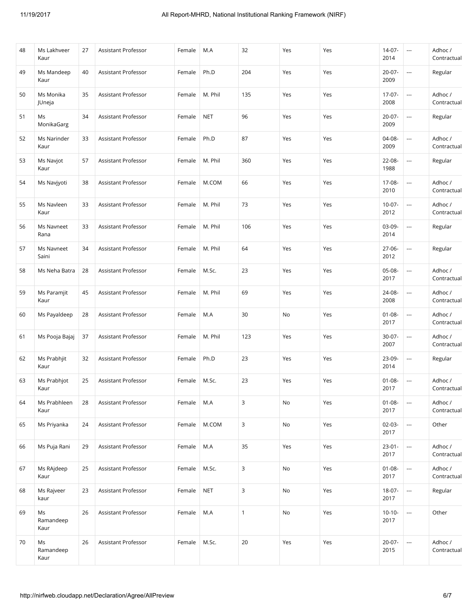| 48 | Ms Lakhveer<br>Kaur     | 27 | Assistant Professor        | Female | M.A        | 32           | Yes | Yes | $14-07-$<br>2014    | $\sim$                   | Adhoc /<br>Contractual |
|----|-------------------------|----|----------------------------|--------|------------|--------------|-----|-----|---------------------|--------------------------|------------------------|
| 49 | Ms Mandeep<br>Kaur      | 40 | Assistant Professor        | Female | Ph.D       | 204          | Yes | Yes | 20-07-<br>2009      | ---                      | Regular                |
| 50 | Ms Monika<br>JUneja     | 35 | Assistant Professor        | Female | M. Phil    | 135          | Yes | Yes | $17-07-$<br>2008    | $\overline{\phantom{a}}$ | Adhoc /<br>Contractual |
| 51 | Ms<br>MonikaGarg        | 34 | Assistant Professor        | Female | <b>NET</b> | 96           | Yes | Yes | 20-07-<br>2009      | $\overline{\phantom{a}}$ | Regular                |
| 52 | Ms Narinder<br>Kaur     | 33 | Assistant Professor        | Female | Ph.D       | 87           | Yes | Yes | 04-08-<br>2009      | $\overline{\phantom{a}}$ | Adhoc /<br>Contractual |
| 53 | Ms Navjot<br>Kaur       | 57 | Assistant Professor        | Female | M. Phil    | 360          | Yes | Yes | 22-08-<br>1988      | ---                      | Regular                |
| 54 | Ms Navjyoti             | 38 | Assistant Professor        | Female | M.COM      | 66           | Yes | Yes | 17-08-<br>2010      | $\overline{\phantom{a}}$ | Adhoc /<br>Contractual |
| 55 | Ms Navleen<br>Kaur      | 33 | Assistant Professor        | Female | M. Phil    | 73           | Yes | Yes | $10-07-$<br>2012    | $\overline{\phantom{a}}$ | Adhoc /<br>Contractual |
| 56 | Ms Navneet<br>Rana      | 33 | Assistant Professor        | Female | M. Phil    | 106          | Yes | Yes | 03-09-<br>2014      | $\overline{\phantom{a}}$ | Regular                |
| 57 | Ms Navneet<br>Saini     | 34 | Assistant Professor        | Female | M. Phil    | 64           | Yes | Yes | $27 - 06 -$<br>2012 | ---                      | Regular                |
| 58 | Ms Neha Batra           | 28 | Assistant Professor        | Female | M.Sc.      | 23           | Yes | Yes | 05-08-<br>2017      | $\overline{\phantom{a}}$ | Adhoc /<br>Contractual |
| 59 | Ms Paramjit<br>Kaur     | 45 | Assistant Professor        | Female | M. Phil    | 69           | Yes | Yes | 24-08-<br>2008      | ---                      | Adhoc /<br>Contractual |
| 60 | Ms Payaldeep            | 28 | Assistant Professor        | Female | M.A        | 30           | No  | Yes | $01 - 08 -$<br>2017 | $\overline{\phantom{a}}$ | Adhoc /<br>Contractual |
| 61 | Ms Pooja Bajaj          | 37 | Assistant Professor        | Female | M. Phil    | 123          | Yes | Yes | 30-07-<br>2007      | $\overline{\phantom{a}}$ | Adhoc /<br>Contractual |
| 62 | Ms Prabhjit<br>Kaur     | 32 | Assistant Professor        | Female | Ph.D       | 23           | Yes | Yes | 23-09-<br>2014      | $\overline{\phantom{a}}$ | Regular                |
| 63 | Ms Prabhjot<br>Kaur     | 25 | Assistant Professor        | Female | M.Sc.      | 23           | Yes | Yes | $01 - 08 -$<br>2017 | $\scriptstyle\cdots$     | Adhoc /<br>Contractual |
| 64 | Ms Prabhleen<br>Kaur    | 28 | Assistant Professor        | Female | M.A        | 3            | No  | Yes | $01 - 08 -$<br>2017 | $\overline{\phantom{a}}$ | Adhoc/<br>Contractual  |
| 65 | Ms Priyanka             | 24 | Assistant Professor        | Female | M.COM      | 3            | No  | Yes | $02 - 03 -$<br>2017 | $\overline{\phantom{a}}$ | Other                  |
| 66 | Ms Puja Rani            | 29 | Assistant Professor        | Female | M.A        | 35           | Yes | Yes | $23 - 01 -$<br>2017 | $\hspace{0.05cm} \ldots$ | Adhoc /<br>Contractual |
| 67 | Ms RAjdeep<br>Kaur      | 25 | <b>Assistant Professor</b> | Female | M.Sc.      | 3            | No  | Yes | $01 - 08 -$<br>2017 | $\overline{\phantom{a}}$ | Adhoc/<br>Contractual  |
| 68 | Ms Rajveer<br>kaur      | 23 | Assistant Professor        | Female | <b>NET</b> | 3            | No  | Yes | 18-07-<br>2017      | $\hspace{0.05cm} \ldots$ | Regular                |
| 69 | Ms<br>Ramandeep<br>Kaur | 26 | Assistant Professor        | Female | M.A        | $\mathbf{1}$ | No  | Yes | $10-10-$<br>2017    | u.                       | Other                  |
| 70 | Ms<br>Ramandeep<br>Kaur | 26 | Assistant Professor        | Female | M.Sc.      | 20           | Yes | Yes | $20-07-$<br>2015    | $\overline{a}$           | Adhoc /<br>Contractual |